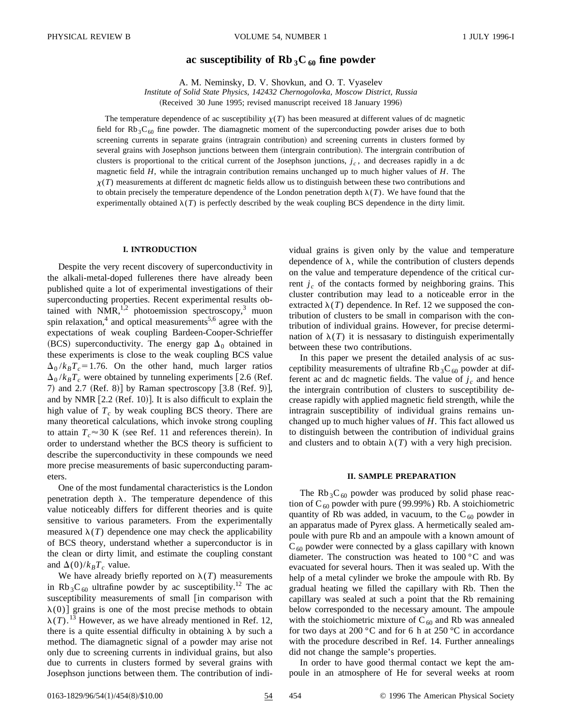# ac susceptibility of  $\text{Rb}_3\text{C}_{60}$  fine powder

A. M. Neminsky, D. V. Shovkun, and O. T. Vyaselev

*Institute of Solid State Physics, 142432 Chernogolovka, Moscow District, Russia*

(Received 30 June 1995; revised manuscript received 18 January 1996)

The temperature dependence of ac susceptibility  $\chi(T)$  has been measured at different values of dc magnetic field for  $Rb_3C_{60}$  fine powder. The diamagnetic moment of the superconducting powder arises due to both screening currents in separate grains (intragrain contribution) and screening currents in clusters formed by several grains with Josephson junctions between them (intergrain contribution). The intergrain contribution of clusters is proportional to the critical current of the Josephson junctions,  $j_c$ , and decreases rapidly in a dc magnetic field *H*, while the intragrain contribution remains unchanged up to much higher values of *H*. The  $\chi(T)$  measurements at different dc magnetic fields allow us to distinguish between these two contributions and to obtain precisely the temperature dependence of the London penetration depth  $\lambda(T)$ . We have found that the experimentally obtained  $\lambda(T)$  is perfectly described by the weak coupling BCS dependence in the dirty limit.

#### **I. INTRODUCTION**

Despite the very recent discovery of superconductivity in the alkali-metal-doped fullerenes there have already been published quite a lot of experimental investigations of their superconducting properties. Recent experimental results obtained with NMR,<sup>1,2</sup> photoemission spectroscopy,<sup>3</sup> muon spin relaxation,<sup>4</sup> and optical measurements<sup>5,6</sup> agree with the expectations of weak coupling Bardeen-Cooper-Schrieffer (BCS) superconductivity. The energy gap  $\Delta_0$  obtained in these experiments is close to the weak coupling BCS value  $\Delta_0 / k_B T_c = 1.76$ . On the other hand, much larger ratios  $\Delta_0 / k_B T_c$  were obtained by tunneling experiments [2.6 (Ref. 7) and 2.7  $(Ref. 8)$  by Raman spectroscopy  $[3.8 (Ref. 9)],$ and by NMR  $[2.2$  (Ref. 10). It is also difficult to explain the high value of  $T_c$  by weak coupling BCS theory. There are many theoretical calculations, which invoke strong coupling to attain  $T_c \approx 30$  K (see Ref. 11 and references therein). In order to understand whether the BCS theory is sufficient to describe the superconductivity in these compounds we need more precise measurements of basic superconducting parameters.

One of the most fundamental characteristics is the London penetration depth  $\lambda$ . The temperature dependence of this value noticeably differs for different theories and is quite sensitive to various parameters. From the experimentally measured  $\lambda(T)$  dependence one may check the applicability of BCS theory, understand whether a superconductor is in the clean or dirty limit, and estimate the coupling constant and  $\Delta(0)/k_BT_c$  value.

We have already briefly reported on  $\lambda(T)$  measurements in Rb<sub>3</sub>C<sub>60</sub> ultrafine powder by ac susceptibility.<sup>12</sup> The ac susceptibility measurements of small  $\left| \right|$  in comparison with  $\lambda(0)$ ] grains is one of the most precise methods to obtain  $\lambda(T)$ .<sup>13</sup> However, as we have already mentioned in Ref. 12, there is a quite essential difficulty in obtaining  $\lambda$  by such a method. The diamagnetic signal of a powder may arise not only due to screening currents in individual grains, but also due to currents in clusters formed by several grains with Josephson junctions between them. The contribution of individual grains is given only by the value and temperature dependence of  $\lambda$ , while the contribution of clusters depends on the value and temperature dependence of the critical current  $j_c$  of the contacts formed by neighboring grains. This cluster contribution may lead to a noticeable error in the extracted  $\lambda(T)$  dependence. In Ref. 12 we supposed the contribution of clusters to be small in comparison with the contribution of individual grains. However, for precise determination of  $\lambda(T)$  it is nessasary to distinguish experimentally between these two contributions.

In this paper we present the detailed analysis of ac susceptibility measurements of ultrafine Rb<sub>3</sub>C<sub>60</sub> powder at different ac and dc magnetic fields. The value of  $j_c$  and hence the intergrain contribution of clusters to susceptibility decrease rapidly with applied magnetic field strength, while the intragrain susceptibility of individual grains remains unchanged up to much higher values of *H*. This fact allowed us to distinguish between the contribution of individual grains and clusters and to obtain  $\lambda(T)$  with a very high precision.

### **II. SAMPLE PREPARATION**

The Rb<sub>3</sub>C<sub>60</sub> powder was produced by solid phase reaction of C<sub>60</sub> powder with pure (99.99%) Rb. A stoichiometric quantity of Rb was added, in vacuum, to the  $C_{60}$  powder in an apparatus made of Pyrex glass. A hermetically sealed ampoule with pure Rb and an ampoule with a known amount of  $C_{60}$  powder were connected by a glass capillary with known diameter. The construction was heated to 100 °C and was evacuated for several hours. Then it was sealed up. With the help of a metal cylinder we broke the ampoule with Rb. By gradual heating we filled the capillary with Rb. Then the capillary was sealed at such a point that the Rb remaining below corresponded to the necessary amount. The ampoule with the stoichiometric mixture of  $C_{60}$  and Rb was annealed for two days at 200  $\degree$ C and for 6 h at 250  $\degree$ C in accordance with the procedure described in Ref. 14. Further annealings did not change the sample's properties.

In order to have good thermal contact we kept the ampoule in an atmosphere of He for several weeks at room

0163-1829/96/54(1)/454(8)/\$10.00 54 54 54 C 1996 The American Physical Society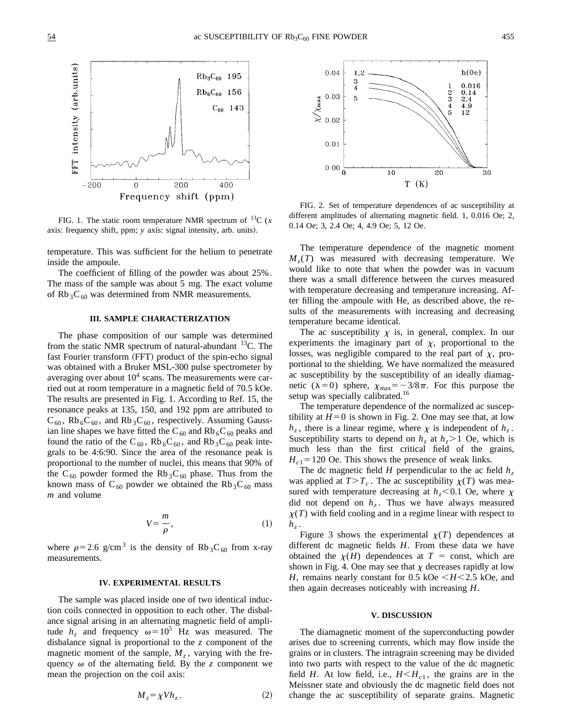

FIG. 1. The static room temperature NMR spectrum of  $^{13}C(x)$ axis: frequency shift, ppm; *y* axis: signal intensity, arb. units).

temperature. This was sufficient for the helium to penetrate inside the ampoule.

The coefficient of filling of the powder was about 25%. The mass of the sample was about 5 mg. The exact volume of Rb<sub>3</sub>C<sub>60</sub> was determined from NMR measurements.

# **III. SAMPLE CHARACTERIZATION**

The phase composition of our sample was determined from the static NMR spectrum of natural-abundant  ${}^{13}C$ . The fast Fourier transform (FFT) product of the spin-echo signal was obtained with a Bruker MSL-300 pulse spectrometer by averaging over about  $10<sup>4</sup>$  scans. The measurements were carried out at room temperature in a magnetic field of 70.5 kOe. The results are presented in Fig. 1. According to Ref. 15, the resonance peaks at 135, 150, and 192 ppm are attributed to  $C_{60}$ , Rb<sub>6</sub> $C_{60}$ , and Rb<sub>3</sub> $C_{60}$ , respectively. Assuming Gaussian line shapes we have fitted the C<sub>60</sub> and Rb<sub>6</sub>C<sub>60</sub> peaks and found the ratio of the C<sub>60</sub>, Rb<sub>6</sub>C<sub>60</sub>, and Rb<sub>3</sub>C<sub>60</sub> peak integrals to be 4:6:90. Since the area of the resonance peak is proportional to the number of nuclei, this means that 90% of the C<sub>60</sub> powder formed the Rb<sub>3</sub>C<sub>60</sub> phase. Thus from the known mass of C<sub>60</sub> powder we obtained the Rb<sub>3</sub>C<sub>60</sub> mass *m* and volume

$$
V = \frac{m}{\rho},\tag{1}
$$

where  $\rho$ =2.6 g/cm<sup>3</sup> is the density of Rb<sub>3</sub>C<sub>60</sub> from x-ray measurements.

#### **IV. EXPERIMENTAL RESULTS**

The sample was placed inside one of two identical induction coils connected in opposition to each other. The disbalance signal arising in an alternating magnetic field of amplitude  $h_z$  and frequency  $\omega = 10^5$  Hz was measured. The disbalance signal is proportional to the *z* component of the magnetic moment of the sample,  $M<sub>z</sub>$ , varying with the frequency  $\omega$  of the alternating field. By the *z* component we mean the projection on the coil axis:





FIG. 2. Set of temperature dependences of ac susceptibility at different amplitudes of alternating magnetic field. 1, 0.016 Oe; 2, 0.14 Oe; 3, 2.4 Oe; 4, 4.9 Oe; 5, 12 Oe.

The temperature dependence of the magnetic moment  $M<sub>z</sub>(T)$  was measured with decreasing temperature. We would like to note that when the powder was in vacuum there was a small difference between the curves measured with temperature decreasing and temperature increasing. After filling the ampoule with He, as described above, the results of the measurements with increasing and decreasing temperature became identical.

The ac susceptibility  $\chi$  is, in general, complex. In our experiments the imaginary part of  $\chi$ , proportional to the losses, was negligible compared to the real part of  $\chi$ , proportional to the shielding. We have normalized the measured ac susceptibility by the susceptibility of an ideally diamagnetic ( $\lambda=0$ ) sphere,  $\chi_{\text{max}}=-3/8\pi$ . For this purpose the setup was specially calibrated.<sup>16</sup>

The temperature dependence of the normalized ac susceptibility at  $H=0$  is shown in Fig. 2. One may see that, at low  $h_z$ , there is a linear regime, where  $\chi$  is independent of  $h_z$ . Susceptibility starts to depend on  $h<sub>z</sub>$  at  $h<sub>z</sub> > 1$  Oe, which is much less than the first critical field of the grains,  $H_{c1}$ =120 Oe. This shows the presence of weak links.

The dc magnetic field *H* perpendicular to the ac field  $h<sub>z</sub>$ was applied at  $T>T_c$ . The ac susceptibility  $\chi(T)$  was measured with temperature decreasing at  $h<sub>z</sub> < 0.1$  Oe, where  $\chi$ did not depend on  $h<sub>z</sub>$ . Thus we have always measured  $\chi(T)$  with field cooling and in a regime linear with respect to  $h_z$ .

Figure 3 shows the experimental  $\chi(T)$  dependences at different dc magnetic fields *H*. From these data we have obtained the  $\chi(H)$  dependences at  $T =$  const, which are shown in Fig. 4. One may see that  $\chi$  decreases rapidly at low *H*, remains nearly constant for 0.5 kOe  $\lt H \lt 2.5$  kOe, and then again decreases noticeably with increasing *H*.

### **V. DISCUSSION**

The diamagnetic moment of the superconducting powder arises due to screening currents, which may flow inside the grains or in clusters. The intragrain screening may be divided into two parts with respect to the value of the dc magnetic field *H*. At low field, i.e.,  $H \leq H_{c1}$ , the grains are in the Meissner state and obviously the dc magnetic field does not change the ac susceptibility of separate grains. Magnetic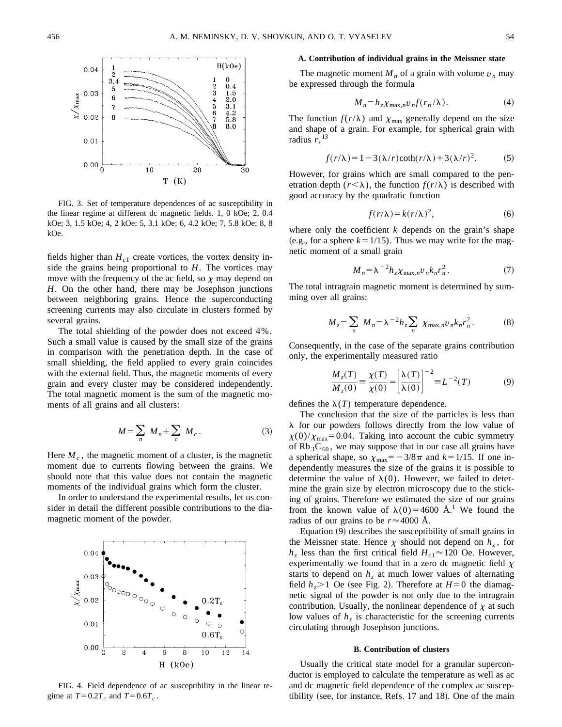

FIG. 3. Set of temperature dependences of ac susceptibility in the linear regime at different dc magnetic fields. 1, 0 kOe; 2, 0.4 kOe; 3, 1.5 kOe; 4, 2 kOe; 5, 3.1 kOe; 6, 4.2 kOe; 7, 5.8 kOe; 8, 8 kOe.

fields higher than  $H_{c1}$  create vortices, the vortex density inside the grains being proportional to *H*. The vortices may move with the frequency of the ac field, so  $\chi$  may depend on *H*. On the other hand, there may be Josephson junctions between neighboring grains. Hence the superconducting screening currents may also circulate in clusters formed by several grains.

The total shielding of the powder does not exceed 4%. Such a small value is caused by the small size of the grains in comparison with the penetration depth. In the case of small shielding, the field applied to every grain coincides with the external field. Thus, the magnetic moments of every grain and every cluster may be considered independently. The total magnetic moment is the sum of the magnetic moments of all grains and all clusters:

$$
M = \sum_{n} M_n + \sum_{c} M_c.
$$
 (3)

Here  $M_c$ , the magnetic moment of a cluster, is the magnetic moment due to currents flowing between the grains. We should note that this value does not contain the magnetic moments of the individual grains which form the cluster.

In order to understand the experimental results, let us consider in detail the different possible contributions to the diamagnetic moment of the powder.



FIG. 4. Field dependence of ac susceptibility in the linear regime at  $T=0.2T_c$  and  $T=0.6T_c$ .

### **A. Contribution of individual grains in the Meissner state**

The magnetic moment  $M_n$  of a grain with volume  $v_n$  may be expressed through the formula

$$
M_n = h_z \chi_{\max,n} v_n f(r_n/\lambda). \tag{4}
$$

The function  $f(r/\lambda)$  and  $\chi_{\text{max}}$  generally depend on the size and shape of a grain. For example, for spherical grain with radius  $r<sub>13</sub>$ 

$$
f(r/\lambda) = 1 - 3(\lambda/r)\coth(r/\lambda) + 3(\lambda/r)^{2}.
$$
 (5)

However, for grains which are small compared to the penetration depth  $(r<\lambda)$ , the function  $f(r/\lambda)$  is described with good accuracy by the quadratic function

$$
f(r/\lambda) = k(r/\lambda)^2,
$$
 (6)

where only the coefficient *k* depends on the grain's shape (e.g., for a sphere  $k=1/15$ ). Thus we may write for the magnetic moment of a small grain

$$
M_n = \lambda^{-2} h_z \chi_{\max,n} v_n k_n r_n^2. \tag{7}
$$

The total intragrain magnetic moment is determined by summing over all grains:

$$
M_z = \sum_n M_n = \lambda^{-2} h_z \sum_n \chi_{\max,n} v_n k_n r_n^2. \tag{8}
$$

Consequently, in the case of the separate grains contribution only, the experimentally measured ratio

$$
\frac{M_z(T)}{M_z(0)} \equiv \frac{\chi(T)}{\chi(0)} = \left[\frac{\lambda(T)}{\lambda(0)}\right]^{-2} \equiv L^{-2}(T) \tag{9}
$$

defines the  $\lambda(T)$  temperature dependence.

The conclusion that the size of the particles is less than  $\lambda$  for our powders follows directly from the low value of  $\chi(0)/\chi_{\text{max}}$ =0.04. Taking into account the cubic symmetry of  $Rb_3C_{60}$ , we may suppose that in our case all grains have a spherical shape, so  $\chi_{\text{max}} = -3/8\pi$  and  $k = 1/15$ . If one independently measures the size of the grains it is possible to determine the value of  $\lambda(0)$ . However, we failed to determine the grain size by electron microscopy due to the sticking of grains. Therefore we estimated the size of our grains from the known value of  $\lambda(0)=4600 \text{ Å}^1$ . We found the radius of our grains to be  $r \approx 4000$  Å.

Equation  $(9)$  describes the susceptibility of small grains in the Meissner state. Hence  $\chi$  should not depend on  $h_{\zeta}$ , for  $h_z$  less than the first critical field  $H_{c1} \approx 120$  Oe. However, experimentally we found that in a zero dc magnetic field  $\chi$ starts to depend on  $h<sub>z</sub>$  at much lower values of alternating field  $h_z > 1$  Oe (see Fig. 2). Therefore at  $H=0$  the diamagnetic signal of the powder is not only due to the intragrain contribution. Usually, the nonlinear dependence of  $\chi$  at such low values of  $h<sub>z</sub>$  is characteristic for the screening currents circulating through Josephson junctions.

### **B. Contribution of clusters**

Usually the critical state model for a granular superconductor is employed to calculate the temperature as well as ac and dc magnetic field dependence of the complex ac susceptibility (see, for instance, Refs.  $17$  and  $18$ ). One of the main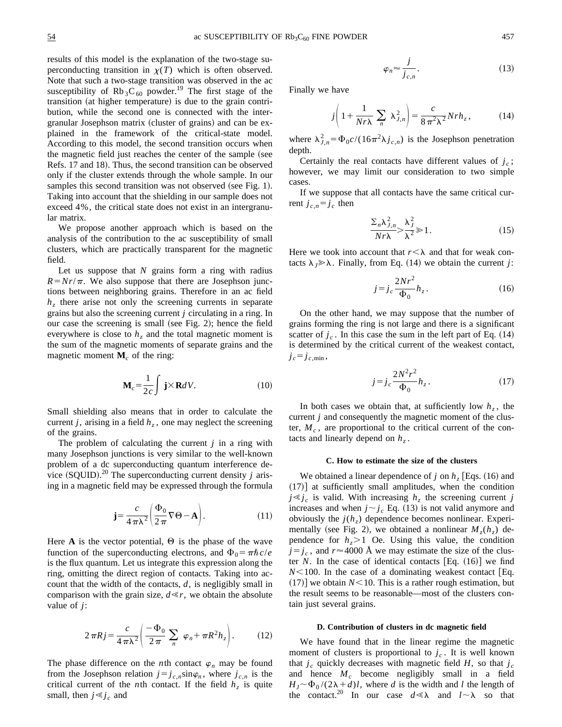results of this model is the explanation of the two-stage superconducting transition in  $\chi(T)$  which is often observed. Note that such a two-stage transition was observed in the ac susceptibility of  $Rb_3C_{60}$  powder.<sup>19</sup> The first stage of the transition (at higher temperature) is due to the grain contribution, while the second one is connected with the intergranular Josephson matrix (cluster of grains) and can be explained in the framework of the critical-state model. According to this model, the second transition occurs when the magnetic field just reaches the center of the sample (see Refs. 17 and 18). Thus, the second transition can be observed only if the cluster extends through the whole sample. In our samples this second transition was not observed (see Fig. 1). Taking into account that the shielding in our sample does not exceed 4%, the critical state does not exist in an intergranular matrix.

We propose another approach which is based on the analysis of the contribution to the ac susceptibility of small clusters, which are practically transparent for the magnetic field.

Let us suppose that *N* grains form a ring with radius  $R = Nr/\pi$ . We also suppose that there are Josephson junctions between neighboring grains. Therefore in an ac field *h<sub>z</sub>* there arise not only the screening currents in separate grains but also the screening current *j* circulating in a ring. In our case the screening is small (see Fig. 2); hence the field everywhere is close to  $h<sub>z</sub>$  and the total magnetic moment is the sum of the magnetic moments of separate grains and the magnetic moment  $M_c$  of the ring:

$$
\mathbf{M}_c = \frac{1}{2c} \int \mathbf{j} \times \mathbf{R} dV.
$$
 (10)

Small shielding also means that in order to calculate the current *j*, arising in a field  $h_z$ , one may neglect the screening of the grains.

The problem of calculating the current *j* in a ring with many Josephson junctions is very similar to the well-known problem of a dc superconducting quantum interference device  $(SQUID)$ .<sup>20</sup> The superconducting current density *j* arising in a magnetic field may be expressed through the formula

$$
\mathbf{j} = \frac{c}{4\pi\lambda^2} \left( \frac{\Phi_0}{2\pi} \nabla \Theta - \mathbf{A} \right). \tag{11}
$$

Here **A** is the vector potential,  $\Theta$  is the phase of the wave function of the superconducting electrons, and  $\Phi_0 = \pi \hbar c/e$ is the flux quantum. Let us integrate this expression along the ring, omitting the direct region of contacts. Taking into account that the width of the contacts, *d*, is negligibly small in comparison with the grain size,  $d \ll r$ , we obtain the absolute value of *j*:

$$
2\pi Rj = \frac{c}{4\pi\lambda^2} \left( \frac{-\Phi_0}{2\pi} \sum_n \varphi_n + \pi R^2 h_z \right). \tag{12}
$$

The phase difference on the *n*th contact  $\varphi_n$  may be found from the Josephson relation  $j=j_{c,n}$ sin $\varphi_n$ , where  $j_{c,n}$  is the critical current of the *n*th contact. If the field  $h<sub>z</sub>$  is quite small, then  $j \ll j_c$  and

$$
\varphi_n \approx \frac{j}{j_{c,n}}.\tag{13}
$$

Finally we have

$$
j\left(1+\frac{1}{Nr\lambda}\sum_{n}\lambda_{J,n}^{2}\right)=\frac{c}{8\pi^{2}\lambda^{2}}Nrh_{z},
$$
 (14)

where  $\lambda_{J,n}^2 = \Phi_0 c / (16\pi^2 \lambda j_{c,n})$  is the Josephson penetration depth.

Certainly the real contacts have different values of  $j_c$ ; however, we may limit our consideration to two simple cases.

If we suppose that all contacts have the same critical current  $j_{c,n} = j_c$  then

$$
\frac{\sum_{n} \lambda_{j,n}^{2}}{Nr\lambda} > \frac{\lambda_{j}^{2}}{\lambda^{2}} \ge 1.
$$
 (15)

Here we took into account that  $r < \lambda$  and that for weak contacts  $\lambda_j \gg \lambda$ . Finally, from Eq. (14) we obtain the current *j*:

$$
j=j_c\frac{2Nr^2}{\Phi_0}h_z.
$$
 (16)

On the other hand, we may suppose that the number of grains forming the ring is not large and there is a significant scatter of  $j_c$ . In this case the sum in the left part of Eq.  $(14)$ is determined by the critical current of the weakest contact,  $j_c = j_{c,\text{min}}$ ,

$$
j = j_c \frac{2N^2r^2}{\Phi_0} h_z.
$$
 (17)

In both cases we obtain that, at sufficiently low  $h<sub>z</sub>$ , the current *j* and consequently the magnetic moment of the cluster,  $M_c$ , are proportional to the critical current of the contacts and linearly depend on  $h<sub>z</sub>$ .

#### **C. How to estimate the size of the clusters**

We obtained a linear dependence of *j* on  $h_z$  [Eqs. (16) and  $(17)$ ] at sufficiently small amplitudes, when the condition  $j \ll j_c$  is valid. With increasing  $h<sub>z</sub>$  the screening current *j* increases and when  $j \sim j_c$  Eq. (13) is not valid anymore and obviously the  $j(h_z)$  dependence becomes nonlinear. Experimentally (see Fig. 2), we obtained a nonlinear  $M_z(h_z)$  dependence for  $h<sub>z</sub> > 1$  Oe. Using this value, the condition  $j=j_c$ , and  $r \approx 4000$  Å we may estimate the size of the cluster *N*. In the case of identical contacts  $[Eq. (16)]$  we find  $N$ <100. In the case of a dominating weakest contact [Eq.  $(17)$  we obtain  $N<10$ . This is a rather rough estimation, but the result seems to be reasonable—most of the clusters contain just several grains.

#### **D. Contribution of clusters in dc magnetic field**

We have found that in the linear regime the magnetic moment of clusters is proportional to  $j_c$ . It is well known that  $j_c$  quickly decreases with magnetic field *H*, so that  $j_c$ and hence  $M_c$  become negligibly small in a field  $H_J \sim \Phi_0/(2\lambda + d)l$ , where *d* is the width and *l* the length of the contact.<sup>20</sup> In our case  $d \ll \lambda$  and  $l \sim \lambda$  so that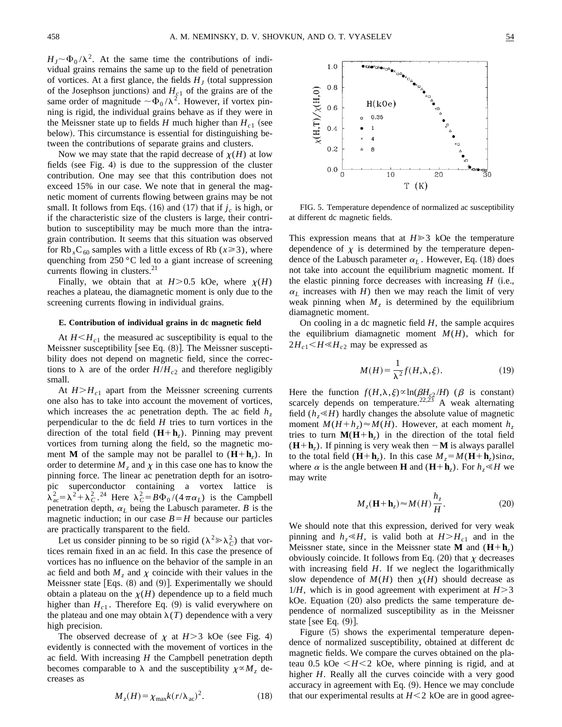$H_I \sim \Phi_0 / \lambda^2$ . At the same time the contributions of individual grains remains the same up to the field of penetration of vortices. At a first glance, the fields  $H<sub>J</sub>$  (total suppression of the Josephson junctions) and  $H<sub>c1</sub>$  of the grains are of the same order of magnitude  $\sim \Phi_0 / \lambda^2$ . However, if vortex pinning is rigid, the individual grains behave as if they were in the Meissner state up to fields *H* much higher than  $H_{c1}$  (see below). This circumstance is essential for distinguishing between the contributions of separate grains and clusters.

Now we may state that the rapid decrease of  $\chi(H)$  at low fields (see Fig. 4) is due to the suppression of the cluster contribution. One may see that this contribution does not exceed 15% in our case. We note that in general the magnetic moment of currents flowing between grains may be not small. It follows from Eqs.  $(16)$  and  $(17)$  that if  $j_c$  is high, or if the characteristic size of the clusters is large, their contribution to susceptibility may be much more than the intragrain contribution. It seems that this situation was observed for Rb<sub>*x*</sub>C<sub>60</sub> samples with a little excess of Rb ( $x \ge 3$ ), where quenching from 250 °C led to a giant increase of screening currents flowing in clusters.<sup>21</sup>

Finally, we obtain that at  $H > 0.5$  kOe, where  $\chi(H)$ reaches a plateau, the diamagnetic moment is only due to the screening currents flowing in individual grains.

# **E. Contribution of individual grains in dc magnetic field**

At  $H \leq H_{c1}$  the measured ac susceptibility is equal to the Meissner susceptibility [see Eq.  $(8)$ ]. The Meissner susceptibility does not depend on magnetic field, since the corrections to  $\lambda$  are of the order  $H/H_{c2}$  and therefore negligibly small.

At  $H>H_{c1}$  apart from the Meissner screening currents one also has to take into account the movement of vortices, which increases the ac penetration depth. The ac field  $h<sub>z</sub>$ perpendicular to the dc field *H* tries to turn vortices in the direction of the total field  $(H+h<sub>z</sub>)$ . Pinning may prevent vortices from turning along the field, so the magnetic moment **M** of the sample may not be parallel to  $(H+h_z)$ . In order to determine  $M_z$  and  $\chi$  in this case one has to know the pinning force. The linear ac penetration depth for an isotropic superconductor containing a vortex lattice is  $\lambda_{ac}^2 = \lambda^2 + \lambda_c^2$ . <sup>24</sup> Here  $\lambda_c^2 = B\Phi_0/(4\pi\alpha_L)$  is the Campbell penetration depth,  $\alpha_L$  being the Labusch parameter. *B* is the magnetic induction; in our case  $B = H$  because our particles are practically transparent to the field.

Let us consider pinning to be so rigid ( $\lambda^2 \gg \lambda_C^2$ ) that vortices remain fixed in an ac field. In this case the presence of vortices has no influence on the behavior of the sample in an ac field and both  $M_z$  and  $\chi$  coincide with their values in the Meissner state  $[Eqs. (8)$  and  $(9)]$ . Experimentally we should obtain a plateau on the  $\chi(H)$  dependence up to a field much higher than  $H_{c1}$ . Therefore Eq. (9) is valid everywhere on the plateau and one may obtain  $\lambda(T)$  dependence with a very high precision.

The observed decrease of  $\chi$  at  $H > 3$  kOe (see Fig. 4) evidently is connected with the movement of vortices in the ac field. With increasing *H* the Campbell penetration depth becomes comparable to  $\lambda$  and the susceptibility  $\chi \propto M_z$  decreases as

$$
M_z(H) = \chi_{\text{max}} k(r/\lambda_{\text{ac}})^2.
$$
 (18)



FIG. 5. Temperature dependence of normalized ac susceptibility at different dc magnetic fields.

This expression means that at  $H \geq 3$  kOe the temperature dependence of  $\chi$  is determined by the temperature dependence of the Labusch parameter  $\alpha_L$ . However, Eq. (18) does not take into account the equilibrium magnetic moment. If the elastic pinning force decreases with increasing  $H$  (i.e.,  $\alpha_L$  increases with *H*) then we may reach the limit of very weak pinning when  $M<sub>z</sub>$  is determined by the equilibrium diamagnetic moment.

On cooling in a dc magnetic field *H*, the sample acquires the equilibrium diamagnetic moment  $M(H)$ , which for  $2H_{c1}$   $\leq$  *H* $\leq$ *H* $_{c2}$  may be expressed as

$$
M(H) = \frac{1}{\lambda^2} f(H, \lambda, \xi).
$$
 (19)

Here the function  $f(H,\lambda,\xi) \propto \ln(\beta H_{c2} / H)$  ( $\beta$  is constant) scarcely depends on temperature.<sup>22,23</sup> A weak alternating field  $(h, \ll H)$  hardly changes the absolute value of magnetic moment  $M(H+h_z) \approx M(H)$ . However, at each moment  $h_z$ tries to turn  $M(H+h<sub>z</sub>)$  in the direction of the total field  $(H+h<sub>z</sub>)$ . If pinning is very weak then  $-M$  is always parallel to the total field  $(H+h_z)$ . In this case  $M_z = M(H+h_z)\sin\alpha$ , where  $\alpha$  is the angle between **H** and  $(H+h_z)$ . For  $h_z \ll H$  we may write

$$
M_z(\mathbf{H} + \mathbf{h}_z) \approx M(H) \frac{h_z}{H}.
$$
 (20)

We should note that this expression, derived for very weak pinning and  $h_{z} \ll H$ , is valid both at  $H > H_{c1}$  and in the Meissner state, since in the Meissner state **M** and  $(H+h)$ obviously coincide. It follows from Eq.  $(20)$  that  $\chi$  decreases with increasing field *H*. If we neglect the logarithmically slow dependence of  $M(H)$  then  $\chi(H)$  should decrease as  $1/H$ , which is in good agreement with experiment at  $H > 3$ kOe. Equation  $(20)$  also predicts the same temperature dependence of normalized susceptibility as in the Meissner state [see Eq.  $(9)$ ].

Figure  $(5)$  shows the experimental temperature dependence of normalized susceptibility, obtained at different dc magnetic fields. We compare the curves obtained on the plateau 0.5 kOe  $\leq H \leq 2$  kOe, where pinning is rigid, and at higher *H*. Really all the curves coincide with a very good accuracy in agreement with Eq.  $(9)$ . Hence we may conclude that our experimental results at  $H < 2$  kOe are in good agree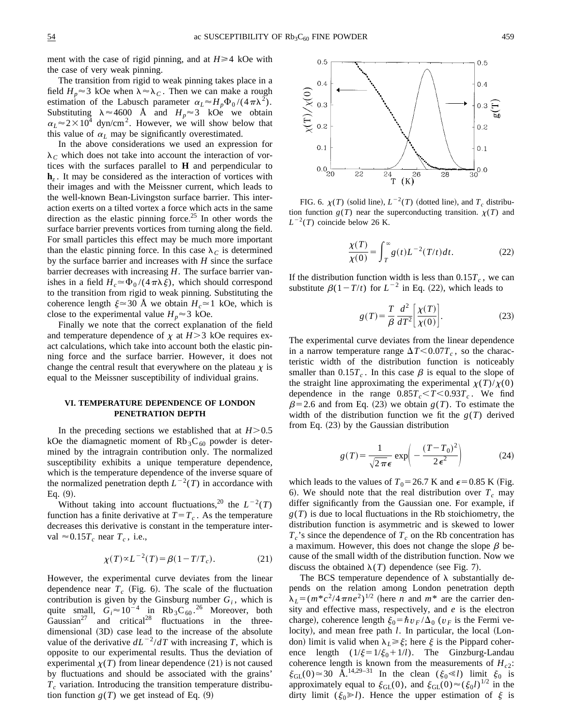ment with the case of rigid pinning, and at  $H \geq 4$  kOe with the case of very weak pinning.

The transition from rigid to weak pinning takes place in a field  $H_p \approx 3$  kOe when  $\lambda \approx \lambda_C$ . Then we can make a rough estimation of the Labusch parameter  $\alpha_L \approx H_p \Phi_0 / (4 \pi \lambda^2)$ . Substituting  $\lambda \approx 4600$  Å and  $H_p \approx 3$  kOe we obtain  $\alpha_L \approx 2 \times 10^4$  dyn/cm<sup>2</sup>. However, we will show below that this value of  $\alpha_L$  may be significantly overestimated.

In the above considerations we used an expression for  $\lambda_c$  which does not take into account the interaction of vortices with the surfaces parallel to **H** and perpendicular to **h***<sup>z</sup>* . It may be considered as the interaction of vortices with their images and with the Meissner current, which leads to the well-known Bean-Livingston surface barrier. This interaction exerts on a tilted vortex a force which acts in the same direction as the elastic pinning force.<sup>25</sup> In other words the surface barrier prevents vortices from turning along the field. For small particles this effect may be much more important than the elastic pinning force. In this case  $\lambda_c$  is determined by the surface barrier and increases with *H* since the surface barrier decreases with increasing *H*. The surface barrier vanishes in a field  $H_c \approx \Phi_0/(4\pi\lambda\xi)$ , which should correspond to the transition from rigid to weak pinning. Substituting the coherence length  $\xi \approx 30$  Å we obtain  $H_c \approx 1$  kOe, which is close to the experimental value  $H_p \approx 3$  kOe.

Finally we note that the correct explanation of the field and temperature dependence of  $\chi$  at  $H > 3$  kOe requires exact calculations, which take into account both the elastic pinning force and the surface barrier. However, it does not change the central result that everywhere on the plateau  $\chi$  is equal to the Meissner susceptibility of individual grains.

# **VI. TEMPERATURE DEPENDENCE OF LONDON PENETRATION DEPTH**

In the preceding sections we established that at  $H > 0.5$ kOe the diamagnetic moment of  $Rb_3C_{60}$  powder is determined by the intragrain contribution only. The normalized susceptibility exhibits a unique temperature dependence, which is the temperature dependence of the inverse square of the normalized penetration depth  $L^{-2}(T)$  in accordance with  $Eq. (9).$ 

Without taking into account fluctuations,<sup>20</sup> the  $L^{-2}(T)$ function has a finite derivative at  $T=T_c$ . As the temperature decreases this derivative is constant in the temperature interval  $\approx 0.15T_c$  near  $T_c$ , i.e.,

$$
\chi(T) \propto L^{-2}(T) = \beta(1 - T/T_c). \tag{21}
$$

However, the experimental curve deviates from the linear dependence near  $T_c$  (Fig. 6). The scale of the fluctuation contribution is given by the Ginsburg number  $G_i$ , which is quite small,  $G_i \approx 10^{-4}$  in Rb<sub>3</sub>C<sub>60</sub>.<sup>26</sup> Moreover, both  $Gaussian<sup>27</sup>$  and critical<sup>28</sup> fluctuations in the threedimensional  $(3D)$  case lead to the increase of the absolute value of the derivative  $dL^{-2}/dT$  with increasing *T*, which is opposite to our experimental results. Thus the deviation of experimental  $\chi(T)$  from linear dependence (21) is not caused by fluctuations and should be associated with the grains'  $T_c$  variation. Introducing the transition temperature distribution function  $g(T)$  we get instead of Eq.  $(9)$ 



FIG. 6.  $\chi(T)$  (solid line),  $L^{-2}(T)$  (dotted line), and  $T_c$  distribution function  $g(T)$  near the superconducting transition.  $\chi(T)$  and  $L^{-2}(T)$  coincide below 26 K.

$$
\frac{\chi(T)}{\chi(0)} = \int_{T}^{\infty} g(t) L^{-2}(T/t) dt.
$$
 (22)

If the distribution function width is less than  $0.15T_c$ , we can substitute  $\beta(1-T/t)$  for  $L^{-2}$  in Eq. (22), which leads to

$$
g(T) = \frac{T}{\beta} \frac{d^2}{dT^2} \left[ \frac{\chi(T)}{\chi(0)} \right].
$$
 (23)

The experimental curve deviates from the linear dependence in a narrow temperature range  $\Delta T < 0.07T_c$ , so the characteristic width of the distribution function is noticeably smaller than  $0.15T_c$ . In this case  $\beta$  is equal to the slope of the straight line approximating the experimental  $\chi(T)/\chi(0)$ dependence in the range  $0.85T_c < T < 0.93T_c$ . We find  $\beta$ =2.6 and from Eq. (23) we obtain *g*(*T*). To estimate the width of the distribution function we fit the  $g(T)$  derived from Eq.  $(23)$  by the Gaussian distribution

$$
g(T) = \frac{1}{\sqrt{2\pi}\epsilon} \exp\left(-\frac{(T - T_0)^2}{2\epsilon^2}\right) \tag{24}
$$

which leads to the values of  $T_0$ =26.7 K and  $\epsilon$ =0.85 K (Fig. 6). We should note that the real distribution over  $T_c$  may differ significantly from the Gaussian one. For example, if  $g(T)$  is due to local fluctuations in the Rb stoichiometry, the distribution function is asymmetric and is skewed to lower  $T_c$ 's since the dependence of  $T_c$  on the Rb concentration has a maximum. However, this does not change the slope  $\beta$  because of the small width of the distribution function. Now we discuss the obtained  $\lambda(T)$  dependence (see Fig. 7).

The BCS temperature dependence of  $\lambda$  substantially depends on the relation among London penetration depth  $\lambda_L = (m^*c^2/4\pi n e^2)^{1/2}$  (here *n* and  $m^*$  are the carrier density and effective mass, respectively, and *e* is the electron charge), coherence length  $\xi_0 = \hbar v_F / \Delta_0$  ( $v_F$  is the Fermi velocity), and mean free path *l*. In particular, the local (London) limit is valid when  $\lambda_l \geq \xi$ ; here  $\xi$  is the Pippard coherence length  $(1/\xi=1/\xi_0+1/l)$ . The Ginzburg-Landau coherence length is known from the measurements of  $H_{c2}$ .  $\xi_{GL}(0) \approx 30 \text{ \AA}.^{14,29-31}$  In the clean  $(\xi_0 \ll l)$  limit  $\xi_0$  is approximately equal to  $\xi_{GL}(0)$ , and  $\xi_{GL}(0) \approx (\xi_0 l)^{1/2}$  in the dirty limit  $(\xi_0 \ge l)$ . Hence the upper estimation of  $\xi$  is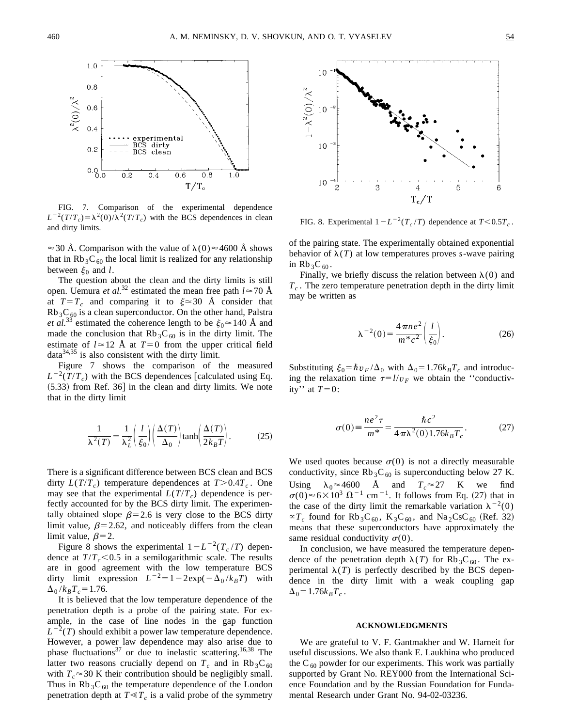

FIG. 7. Comparison of the experimental dependence  $L^{-2}(T/T_c) = \lambda^2(0)/\lambda^2(T/T_c)$  with the BCS dependences in clean  $L^{-2}(T/T_c) = \lambda^2(0)/\lambda^2(T/T_c)$  with the BCS dependences in clean<br>and dirty limits.<br>and dirty limits.

 $\approx$  30 Å. Comparison with the value of  $\lambda(0) \approx$  4600 Å shows that in Rb<sub>3</sub>C<sub>60</sub> the local limit is realized for any relationship between  $\xi_0$  and *l*.

The question about the clean and the dirty limits is still open. Uemura *et al.*<sup>32</sup> estimated the mean free path  $l \approx 70$  Å at  $T=T_c$  and comparing it to  $\xi \approx 30$  Å consider that  $Rb_3C_{60}$  is a clean superconductor. On the other hand, Palstra *et al.*<sup>33</sup> estimated the coherence length to be  $\xi_0 \approx 140$  Å and made the conclusion that  $Rb_3C_{60}$  is in the dirty limit. The estimate of  $l \approx 12$  Å at  $T=0$  from the upper critical field  $data^{34,35}$  is also consistent with the dirty limit.

Figure 7 shows the comparison of the measured  $L^{-2}(T/T_c)$  with the BCS dependences [calculated using Eq.  $(5.33)$  from Ref. 36] in the clean and dirty limits. We note that in the dirty limit

$$
\frac{1}{\lambda^2(T)} = \frac{1}{\lambda_L^2} \left( \frac{l}{\xi_0} \right) \left( \frac{\Delta(T)}{\Delta_0} \right) \tanh\left( \frac{\Delta(T)}{2k_B T} \right). \tag{25}
$$

There is a significant difference between BCS clean and BCS dirty  $L(T/T_c)$  temperature dependences at  $T > 0.4T_c$ . One may see that the experimental  $L(T/T_c)$  dependence is perfectly accounted for by the BCS dirty limit. The experimentally obtained slope  $\beta$ =2.6 is very close to the BCS dirty limit value,  $\beta$ =2.62, and noticeably differs from the clean limit value,  $\beta$ =2.

Figure 8 shows the experimental  $1-L^{-2}(T_c/T)$  dependence at  $T/T_c < 0.5$  in a semilogarithmic scale. The results are in good agreement with the low temperature BCS dirty limit expression  $L^{-2} = 1 - 2e^{(\lambda k_B T)}$  with  $\Delta_0 / k_B T_c = 1.76$ .

It is believed that the low temperature dependence of the penetration depth is a probe of the pairing state. For example, in the case of line nodes in the gap function  $L^{-2}(T)$  should exhibit a power law temperature dependence. However, a power law dependence may also arise due to phase fluctuations<sup>37</sup> or due to inelastic scattering.<sup>16,38</sup> The latter two reasons crucially depend on  $T_c$  and in  $Rb_3C_{60}$ with  $T_c \approx 30$  K their contribution should be negligibly small. Thus in  $Rb_3C_{60}$  the temperature dependence of the London penetration depth at  $T \ll T_c$  is a valid probe of the symmetry



of the pairing state. The experimentally obtained exponential behavior of  $\lambda(T)$  at low temperatures proves *s*-wave pairing in  $Rb_3C_{60}$ .

Finally, we briefly discuss the relation between  $\lambda(0)$  and *Tc* . The zero temperature penetration depth in the dirty limit may be written as

$$
\lambda^{-2}(0) = \frac{4\pi n e^2}{m^* c^2} \left(\frac{l}{\xi_0}\right). \tag{26}
$$

Substituting  $\xi_0 = \hbar v_F / \Delta_0$  with  $\Delta_0 = 1.76 k_B T_c$  and introducing the relaxation time  $\tau = l/v_F$  we obtain the "conductivity'' at  $T=0$ :

$$
\sigma(0) \equiv \frac{ne^2 \tau}{m^*} = \frac{\hbar c^2}{4 \pi \lambda^2 (0) 1.76 k_B T_c}.
$$
 (27)

We used quotes because  $\sigma(0)$  is not a directly measurable conductivity, since Rb<sub>3</sub>C<sub>60</sub> is superconducting below 27 K. Using  $\lambda_0 \approx 4600$  Å and  $T_c \approx 27$  K we find  $\sigma(0) \approx 6 \times 10^3 \Omega^{-1}$  cm<sup>-1</sup>. It follows from Eq. (27) that in the case of the dirty limit the remarkable variation  $\lambda^{-2}(0)$  $\propto T_c$  found for Rb<sub>3</sub>C<sub>60</sub>, K<sub>3</sub>C<sub>60</sub>, and Na<sub>2</sub>CsC<sub>60</sub> (Ref. 32) means that these superconductors have approximately the same residual conductivity  $\sigma(0)$ .

In conclusion, we have measured the temperature dependence of the penetration depth  $\lambda(T)$  for Rb<sub>3</sub>C<sub>60</sub>. The experimental  $\lambda(T)$  is perfectly described by the BCS dependence in the dirty limit with a weak coupling gap  $\Delta_0 = 1.76 k_B T_c$ .

## **ACKNOWLEDGMENTS**

We are grateful to V. F. Gantmakher and W. Harneit for useful discussions. We also thank E. Laukhina who produced the  $C_{60}$  powder for our experiments. This work was partially supported by Grant No. REY000 from the International Science Foundation and by the Russian Foundation for Fundamental Research under Grant No. 94-02-03236.